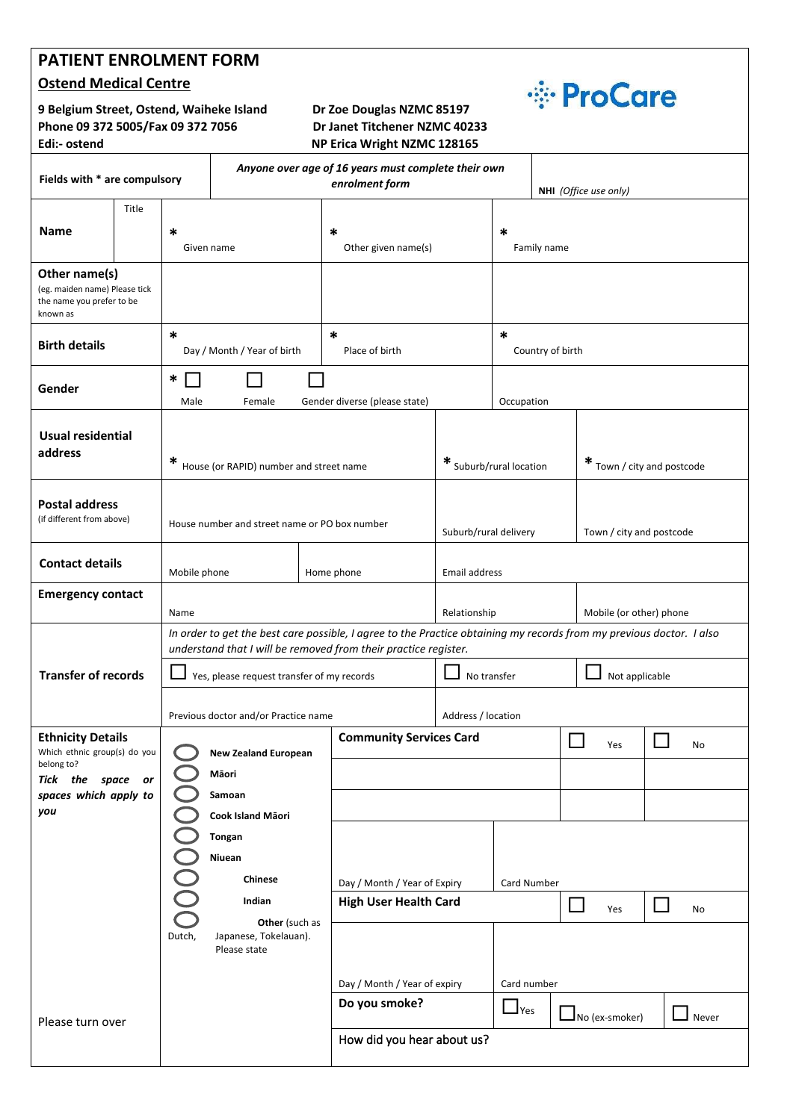## **PATIENT ENROLMENT FORM**

### **Ostend Medical Centre**

**9 Belgium Street, Ostend, Waiheke Island Dr Zoe Douglas NZMC 85197 Phone 09 372 5005/Fax 09 372 7056 Dr Janet Titchener NZMC 40233**

# **Edi:- ostend NP Erica Wright NZMC 128165**



| car:- ostena                                                                                                                |       |                                                                                                                                                                                         |                                                                       |  | <b>INP EFICA WEIGHT IN AND LEADS</b> |                         |                                              |               |                              |    |  |
|-----------------------------------------------------------------------------------------------------------------------------|-------|-----------------------------------------------------------------------------------------------------------------------------------------------------------------------------------------|-----------------------------------------------------------------------|--|--------------------------------------|-------------------------|----------------------------------------------|---------------|------------------------------|----|--|
| Fields with * are compulsory                                                                                                |       |                                                                                                                                                                                         | Anyone over age of 16 years must complete their own<br>enrolment form |  |                                      |                         |                                              |               | NHI (Office use only)        |    |  |
| <b>Name</b>                                                                                                                 | Title | $\ast$<br>Given name                                                                                                                                                                    |                                                                       |  | $\ast$<br>Other given name(s)        |                         | *<br>Family name                             |               |                              |    |  |
| Other name(s)<br>(eg. maiden name) Please tick<br>the name you prefer to be<br>known as                                     |       |                                                                                                                                                                                         |                                                                       |  |                                      |                         |                                              |               |                              |    |  |
| <b>Birth details</b>                                                                                                        |       | $\ast$<br>Day / Month / Year of birth                                                                                                                                                   |                                                                       |  | $\ast$<br>Place of birth             |                         | $\ast$<br>Country of birth                   |               |                              |    |  |
| Gender                                                                                                                      |       | $\ast$<br>Male<br>Female                                                                                                                                                                |                                                                       |  | Gender diverse (please state)        |                         | Occupation                                   |               |                              |    |  |
| <b>Usual residential</b><br>address                                                                                         |       | ∗                                                                                                                                                                                       | House (or RAPID) number and street name                               |  |                                      | * Suburb/rural location |                                              |               | $*$ Town / city and postcode |    |  |
| <b>Postal address</b><br>(if different from above)                                                                          |       |                                                                                                                                                                                         | House number and street name or PO box number                         |  |                                      | Suburb/rural delivery   |                                              |               | Town / city and postcode     |    |  |
| <b>Contact details</b>                                                                                                      |       | Mobile phone                                                                                                                                                                            |                                                                       |  | Home phone                           | Email address           |                                              |               |                              |    |  |
| <b>Emergency contact</b>                                                                                                    |       | Name                                                                                                                                                                                    |                                                                       |  |                                      | Relationship            |                                              |               | Mobile (or other) phone      |    |  |
| <b>Transfer of records</b>                                                                                                  |       | In order to get the best care possible, I agree to the Practice obtaining my records from my previous doctor. I also<br>understand that I will be removed from their practice register. |                                                                       |  |                                      |                         |                                              |               |                              |    |  |
|                                                                                                                             |       |                                                                                                                                                                                         | Yes, please request transfer of my records                            |  |                                      | No transfer             |                                              |               | Not applicable               |    |  |
|                                                                                                                             |       | Previous doctor and/or Practice name                                                                                                                                                    |                                                                       |  |                                      | Address / location      |                                              |               |                              |    |  |
| <b>Ethnicity Details</b><br>Which ethnic group(s) do you<br>belong to?<br>Tick the space or<br>spaces which apply to<br>you |       | <b>New Zealand European</b><br>Māori<br>Samoan<br>Cook Island Māori<br>Tongan<br>Niuean<br>Chinese<br>Indian                                                                            |                                                                       |  | <b>Community Services Card</b>       |                         |                                              | $\Box$<br>Yes | $\Box$                       | No |  |
|                                                                                                                             |       |                                                                                                                                                                                         |                                                                       |  |                                      |                         |                                              |               |                              |    |  |
|                                                                                                                             |       |                                                                                                                                                                                         |                                                                       |  | Day / Month / Year of Expiry         |                         |                                              |               |                              |    |  |
|                                                                                                                             |       |                                                                                                                                                                                         |                                                                       |  |                                      |                         | Card Number                                  |               |                              |    |  |
|                                                                                                                             |       |                                                                                                                                                                                         |                                                                       |  | <b>High User Health Card</b>         |                         | $\Box$                                       |               | $\mathsf{L}$<br>Yes<br>No    |    |  |
|                                                                                                                             |       | Other (such as<br>Dutch,<br>Japanese, Tokelauan).<br>Please state                                                                                                                       |                                                                       |  |                                      |                         |                                              |               |                              |    |  |
|                                                                                                                             |       |                                                                                                                                                                                         |                                                                       |  | Day / Month / Year of expiry         |                         | Card number                                  |               |                              |    |  |
| Please turn over                                                                                                            |       |                                                                                                                                                                                         |                                                                       |  | Do you smoke?                        |                         | $\Box$ Yes<br>$\Box$ No (ex-smoker)<br>Never |               |                              |    |  |
|                                                                                                                             |       |                                                                                                                                                                                         |                                                                       |  | How did you hear about us?           |                         |                                              |               |                              |    |  |